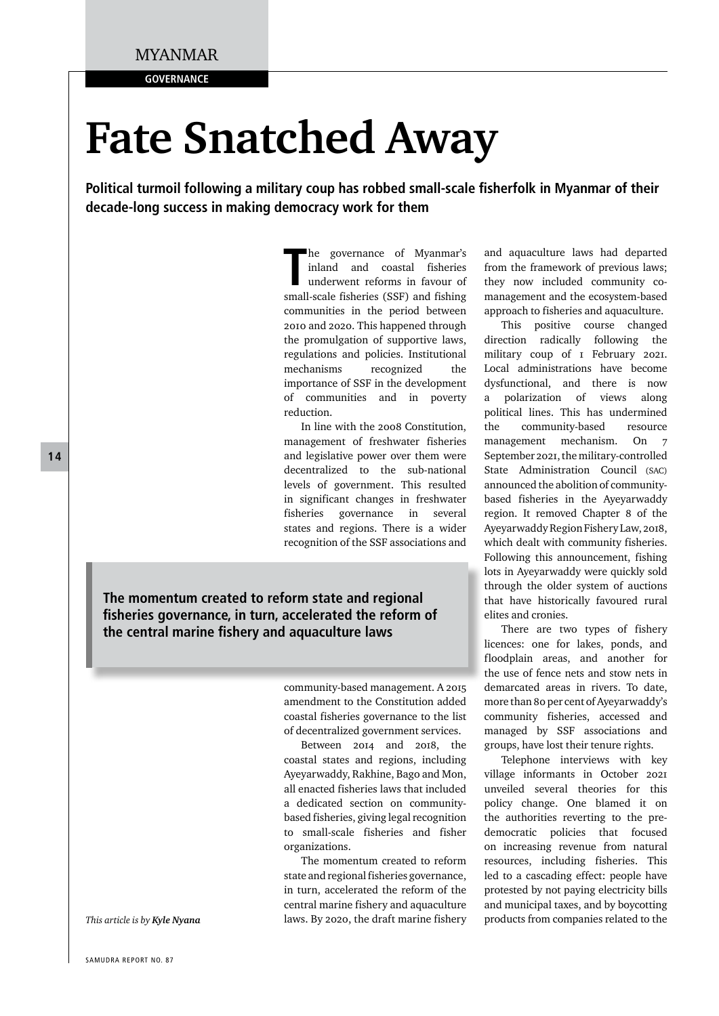**GOVERNANCE** 

# **Fate Snatched Away**

**Political turmoil following a military coup has robbed small-scale fisherfolk in Myanmar of their decade-long success in making democracy work for them**

> The governance of Myanmar's<br>
> inland and coastal fisheries<br>
> underwent reforms in favour of<br>
> small-scale fisheries (SSF) and fishing he governance of Myanmar's inland and coastal fisheries underwent reforms in favour of communities in the period between 2010 and 2020. This happened through the promulgation of supportive laws, regulations and policies. Institutional mechanisms recognized the importance of SSF in the development of communities and in poverty reduction.

> In line with the 2008 Constitution, management of freshwater fisheries and legislative power over them were decentralized to the sub-national levels of government. This resulted in significant changes in freshwater fisheries governance in several states and regions. There is a wider recognition of the SSF associations and

**The momentum created to reform state and regional fisheries governance, in turn, accelerated the reform of the central marine fishery and aquaculture laws** 

> community-based management. A 2015 amendment to the Constitution added coastal fisheries governance to the list of decentralized government services.

> Between 2014 and 2018, the coastal states and regions, including Ayeyarwaddy, Rakhine, Bago and Mon, all enacted fisheries laws that included a dedicated section on communitybased fisheries, giving legal recognition to small-scale fisheries and fisher organizations.

> The momentum created to reform state and regional fisheries governance, in turn, accelerated the reform of the central marine fishery and aquaculture laws. By 2020, the draft marine fishery

and aquaculture laws had departed from the framework of previous laws; they now included community comanagement and the ecosystem-based approach to fisheries and aquaculture.

This positive course changed direction radically following the military coup of 1 February 2021. Local administrations have become dysfunctional, and there is now a polarization of views along political lines. This has undermined the community-based resource management mechanism. On 7 September 2021, the military-controlled State Administration Council (SAC) announced the abolition of communitybased fisheries in the Ayeyarwaddy region. It removed Chapter 8 of the Ayeyarwaddy Region Fishery Law, 2018, which dealt with community fisheries. Following this announcement, fishing lots in Ayeyarwaddy were quickly sold through the older system of auctions that have historically favoured rural elites and cronies.

There are two types of fishery licences: one for lakes, ponds, and floodplain areas, and another for the use of fence nets and stow nets in demarcated areas in rivers. To date, more than 80 per cent of Ayeyarwaddy's community fisheries, accessed and managed by SSF associations and groups, have lost their tenure rights.

Telephone interviews with key village informants in October 2021 unveiled several theories for this policy change. One blamed it on the authorities reverting to the predemocratic policies that focused on increasing revenue from natural resources, including fisheries. This led to a cascading effect: people have protested by not paying electricity bills and municipal taxes, and by boycotting products from companies related to the

**14**

*This article is by Kyle Nyana*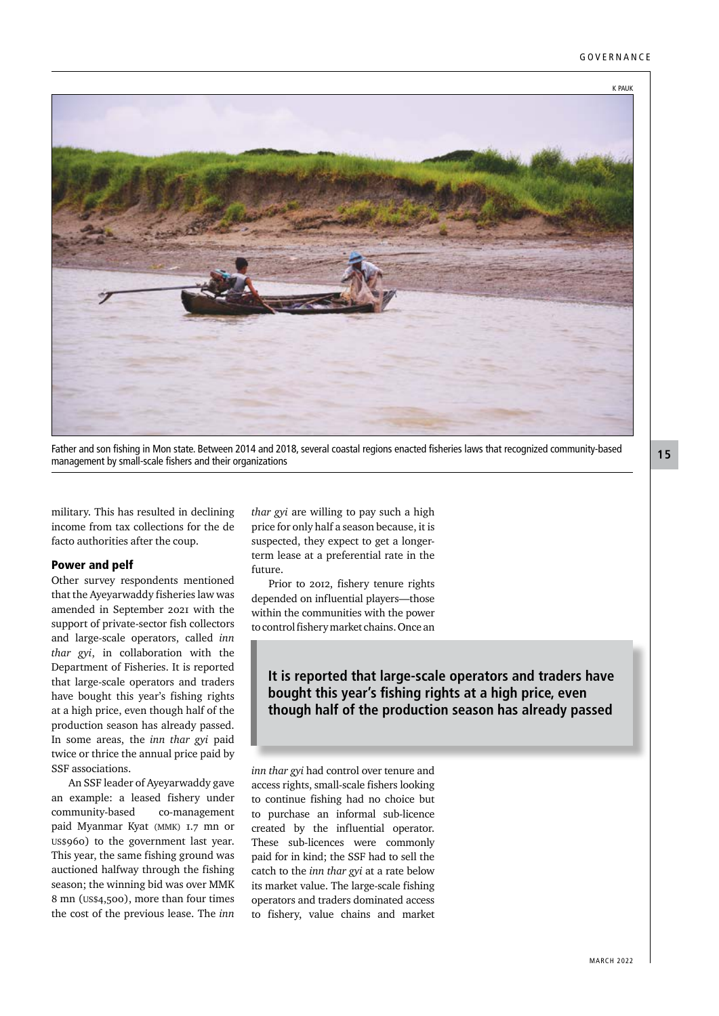

Father and son fishing in Mon state. Between 2014 and 2018, several coastal regions enacted fisheries laws that recognized community-based management by small-scale fishers and their organizations

military. This has resulted in declining income from tax collections for the de facto authorities after the coup.

#### Power and pelf

Other survey respondents mentioned that the Ayeyarwaddy fisheries law was amended in September 2021 with the support of private-sector fish collectors and large-scale operators, called *inn thar gyi*, in collaboration with the Department of Fisheries. It is reported that large-scale operators and traders have bought this year's fishing rights at a high price, even though half of the production season has already passed. In some areas, the *inn thar gyi* paid twice or thrice the annual price paid by SSF associations.

An SSF leader of Ayeyarwaddy gave an example: a leased fishery under community-based co-management paid Myanmar Kyat (MMK) 1.7 mn or US\$960) to the government last year. This year, the same fishing ground was auctioned halfway through the fishing season; the winning bid was over MMK 8 mn (US\$4,500), more than four times the cost of the previous lease. The *inn* 

*thar gyi* are willing to pay such a high price for only half a season because, it is suspected, they expect to get a longerterm lease at a preferential rate in the future.

Prior to 2012, fishery tenure rights depended on influential players—those within the communities with the power to control fishery market chains. Once an

**It is reported that large-scale operators and traders have bought this year's fishing rights at a high price, even though half of the production season has already passed**

*inn thar gyi* had control over tenure and access rights, small-scale fishers looking to continue fishing had no choice but to purchase an informal sub-licence created by the influential operator. These sub-licences were commonly paid for in kind; the SSF had to sell the catch to the *inn thar gyi* at a rate below its market value. The large-scale fishing operators and traders dominated access to fishery, value chains and market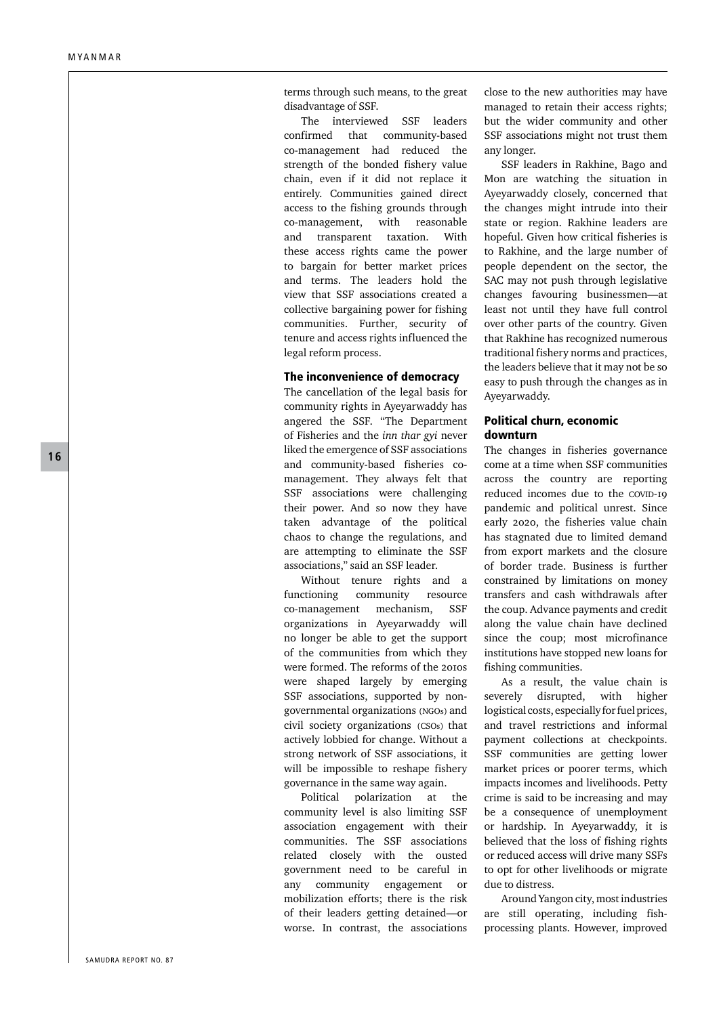terms through such means, to the great disadvantage of SSF.

The interviewed SSF leaders confirmed that community-based co-management had reduced the strength of the bonded fishery value chain, even if it did not replace it entirely. Communities gained direct access to the fishing grounds through co-management, with reasonable and transparent taxation. With these access rights came the power to bargain for better market prices and terms. The leaders hold the view that SSF associations created a collective bargaining power for fishing communities. Further, security of tenure and access rights influenced the legal reform process.

### The inconvenience of democracy

The cancellation of the legal basis for community rights in Ayeyarwaddy has angered the SSF. "The Department of Fisheries and the *inn thar gyi* never liked the emergence of SSF associations and community-based fisheries comanagement. They always felt that SSF associations were challenging their power. And so now they have taken advantage of the political chaos to change the regulations, and are attempting to eliminate the SSF associations," said an SSF leader.

Without tenure rights and a functioning community resource co-management mechanism, SSF organizations in Ayeyarwaddy will no longer be able to get the support of the communities from which they were formed. The reforms of the 2010s were shaped largely by emerging SSF associations, supported by nongovernmental organizations (NGOs) and civil society organizations (CSOs) that actively lobbied for change. Without a strong network of SSF associations, it will be impossible to reshape fishery governance in the same way again.

Political polarization at the community level is also limiting SSF association engagement with their communities. The SSF associations related closely with the ousted government need to be careful in any community engagement or mobilization efforts; there is the risk of their leaders getting detained—or worse. In contrast, the associations close to the new authorities may have managed to retain their access rights; but the wider community and other SSF associations might not trust them any longer.

SSF leaders in Rakhine, Bago and Mon are watching the situation in Ayeyarwaddy closely, concerned that the changes might intrude into their state or region. Rakhine leaders are hopeful. Given how critical fisheries is to Rakhine, and the large number of people dependent on the sector, the SAC may not push through legislative changes favouring businessmen—at least not until they have full control over other parts of the country. Given that Rakhine has recognized numerous traditional fishery norms and practices, the leaders believe that it may not be so easy to push through the changes as in Ayeyarwaddy.

## Political churn, economic downturn

The changes in fisheries governance come at a time when SSF communities across the country are reporting reduced incomes due to the COVID-19 pandemic and political unrest. Since early 2020, the fisheries value chain has stagnated due to limited demand from export markets and the closure of border trade. Business is further constrained by limitations on money transfers and cash withdrawals after the coup. Advance payments and credit along the value chain have declined since the coup; most microfinance institutions have stopped new loans for fishing communities.

As a result, the value chain is severely disrupted, with higher logistical costs, especially for fuel prices, and travel restrictions and informal payment collections at checkpoints. SSF communities are getting lower market prices or poorer terms, which impacts incomes and livelihoods. Petty crime is said to be increasing and may be a consequence of unemployment or hardship. In Ayeyarwaddy, it is believed that the loss of fishing rights or reduced access will drive many SSFs to opt for other livelihoods or migrate due to distress.

Around Yangon city, most industries are still operating, including fishprocessing plants. However, improved

**16**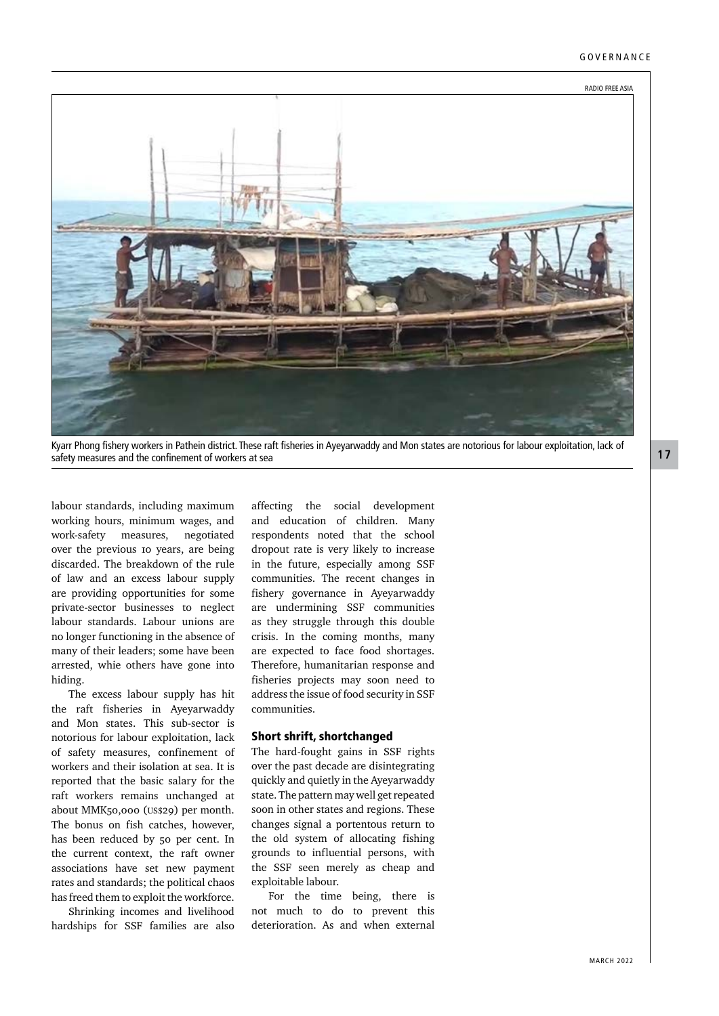

Kyarr Phong fishery workers in Pathein district. These raft fisheries in Ayeyarwaddy and Mon states are notorious for labour exploitation, lack of safety measures and the confinement of workers at sea

labour standards, including maximum working hours, minimum wages, and work-safety measures, negotiated over the previous 10 years, are being discarded. The breakdown of the rule of law and an excess labour supply are providing opportunities for some private-sector businesses to neglect labour standards. Labour unions are no longer functioning in the absence of many of their leaders; some have been arrested, whie others have gone into hiding.

The excess labour supply has hit the raft fisheries in Ayeyarwaddy and Mon states. This sub-sector is notorious for labour exploitation, lack of safety measures, confinement of workers and their isolation at sea. It is reported that the basic salary for the raft workers remains unchanged at about MMK50,000 (US\$29) per month. The bonus on fish catches, however, has been reduced by 50 per cent. In the current context, the raft owner associations have set new payment rates and standards; the political chaos has freed them to exploit the workforce.

Shrinking incomes and livelihood hardships for SSF families are also

affecting the social development and education of children. Many respondents noted that the school dropout rate is very likely to increase in the future, especially among SSF communities. The recent changes in fishery governance in Ayeyarwaddy are undermining SSF communities as they struggle through this double crisis. In the coming months, many are expected to face food shortages. Therefore, humanitarian response and fisheries projects may soon need to address the issue of food security in SSF communities.

#### Short shrift, shortchanged

The hard-fought gains in SSF rights over the past decade are disintegrating quickly and quietly in the Ayeyarwaddy state. The pattern may well get repeated soon in other states and regions. These changes signal a portentous return to the old system of allocating fishing grounds to influential persons, with the SSF seen merely as cheap and exploitable labour.

For the time being, there is not much to do to prevent this deterioration. As and when external **17**